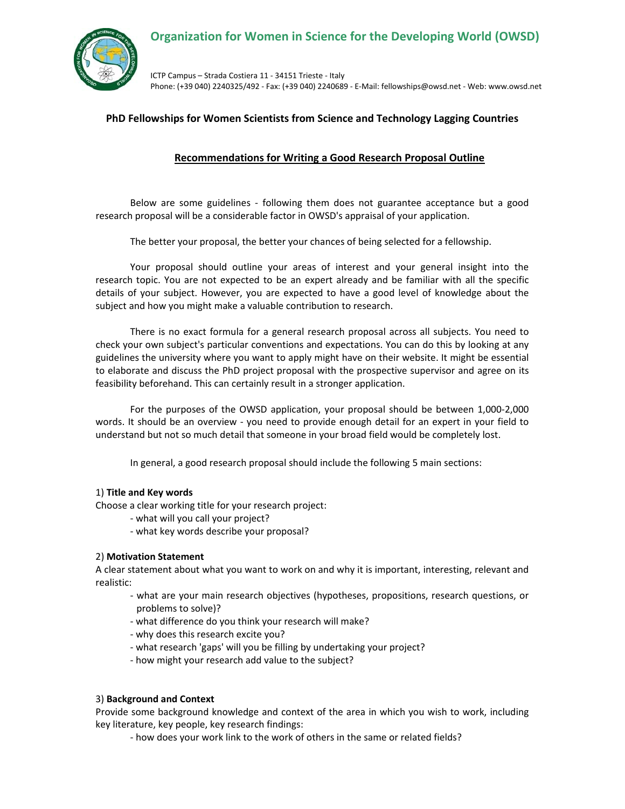

ICTP Campus – Strada Costiera 11 ‐ 34151 Trieste ‐ Italy Phone: (+39 040) 2240325/492 ‐ Fax: (+39 040) 2240689 ‐ E‐Mail: fellowships@owsd.net ‐ Web: www.owsd.net

# **PhD Fellowships for Women Scientists from Science and Technology Lagging Countries**

## **Recommendations for Writing a Good Research Proposal Outline**

Below are some guidelines ‐ following them does not guarantee acceptance but a good research proposal will be a considerable factor in OWSD's appraisal of your application.

The better your proposal, the better your chances of being selected for a fellowship.

Your proposal should outline your areas of interest and your general insight into the research topic. You are not expected to be an expert already and be familiar with all the specific details of your subject. However, you are expected to have a good level of knowledge about the subject and how you might make a valuable contribution to research.

There is no exact formula for a general research proposal across all subjects. You need to check your own subject's particular conventions and expectations. You can do this by looking at any guidelines the university where you want to apply might have on their website. It might be essential to elaborate and discuss the PhD project proposal with the prospective supervisor and agree on its feasibility beforehand. This can certainly result in a stronger application.

For the purposes of the OWSD application, your proposal should be between 1,000‐2,000 words. It should be an overview - you need to provide enough detail for an expert in your field to understand but not so much detail that someone in your broad field would be completely lost.

In general, a good research proposal should include the following 5 main sections:

## 1) **Title and Key words**

Choose a clear working title for your research project:

- ‐ what will you call your project?
- ‐ what key words describe your proposal?

## 2) **Motivation Statement**

A clear statement about what you want to work on and why it is important, interesting, relevant and realistic:

- ‐ what are your main research objectives (hypotheses, propositions, research questions, or problems to solve)?
- ‐ what difference do you think your research will make?
- ‐ why does this research excite you?
- ‐ what research 'gaps' will you be filling by undertaking your project?
- ‐ how might your research add value to the subject?

## 3) **Background and Context**

Provide some background knowledge and context of the area in which you wish to work, including key literature, key people, key research findings:

‐ how does your work link to the work of others in the same or related fields?